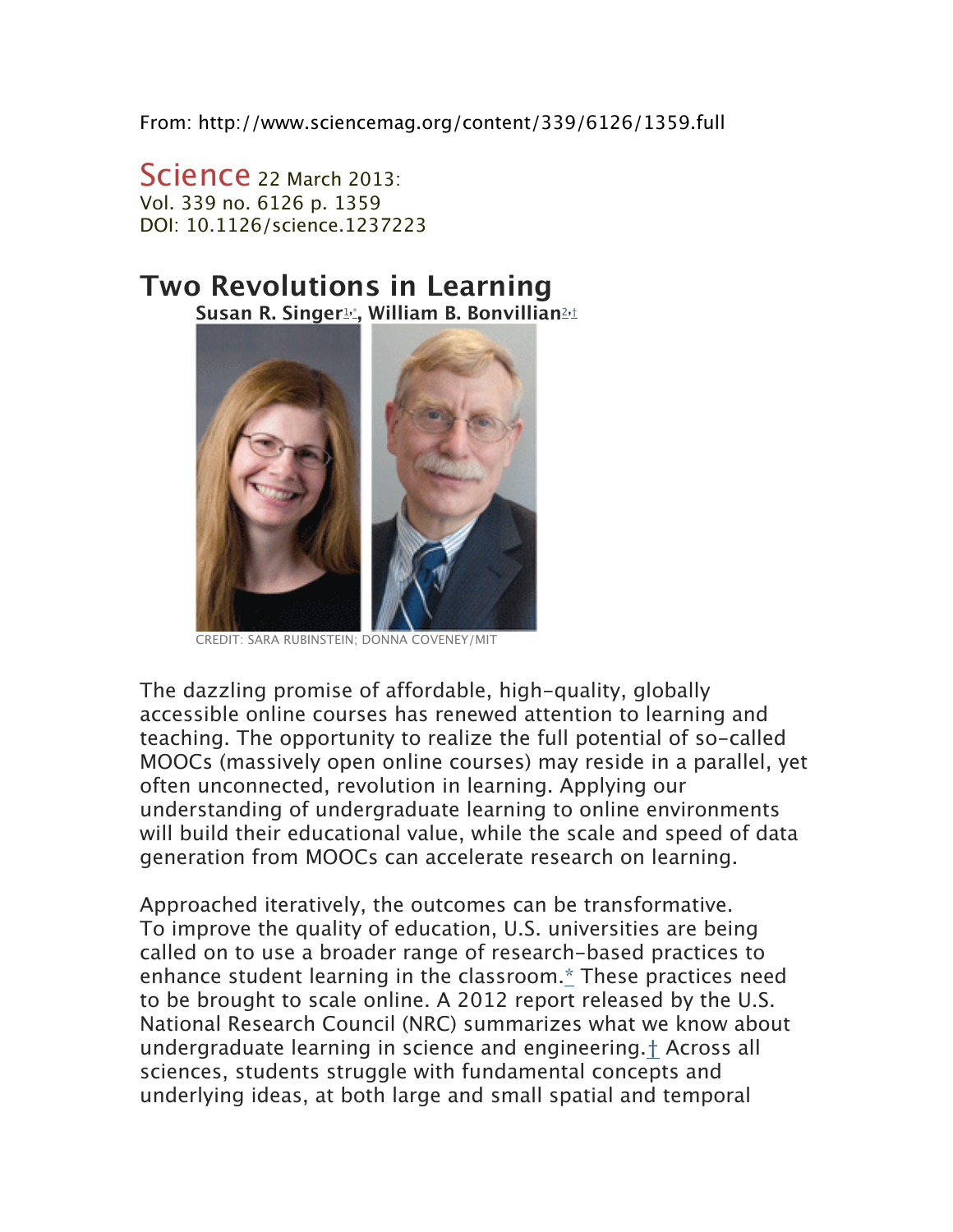From: http://www.sciencemag.org/content/339/6126/1359.full

Science 22 March 2013: Vol. 339 no. 6126 p. 1359 DOI: 10.1126/science.1237223

## **Two Revolutions in Learning Susan R. Singer**1**,**\***, William B. Bonvillian**2**,**†



CREDIT: SARA RUBINSTEIN; DONNA COVENEY/MIT

The dazzling promise of affordable, high-quality, globally accessible online courses has renewed attention to learning and teaching. The opportunity to realize the full potential of so-called MOOCs (massively open online courses) may reside in a parallel, yet often unconnected, revolution in learning. Applying our understanding of undergraduate learning to online environments will build their educational value, while the scale and speed of data generation from MOOCs can accelerate research on learning.

Approached iteratively, the outcomes can be transformative. To improve the quality of education, U.S. universities are being called on to use a broader range of research-based practices to enhance student learning in the classroom.\* These practices need to be brought to scale online. A 2012 report released by the U.S. National Research Council (NRC) summarizes what we know about undergraduate learning in science and engineering.† Across all sciences, students struggle with fundamental concepts and underlying ideas, at both large and small spatial and temporal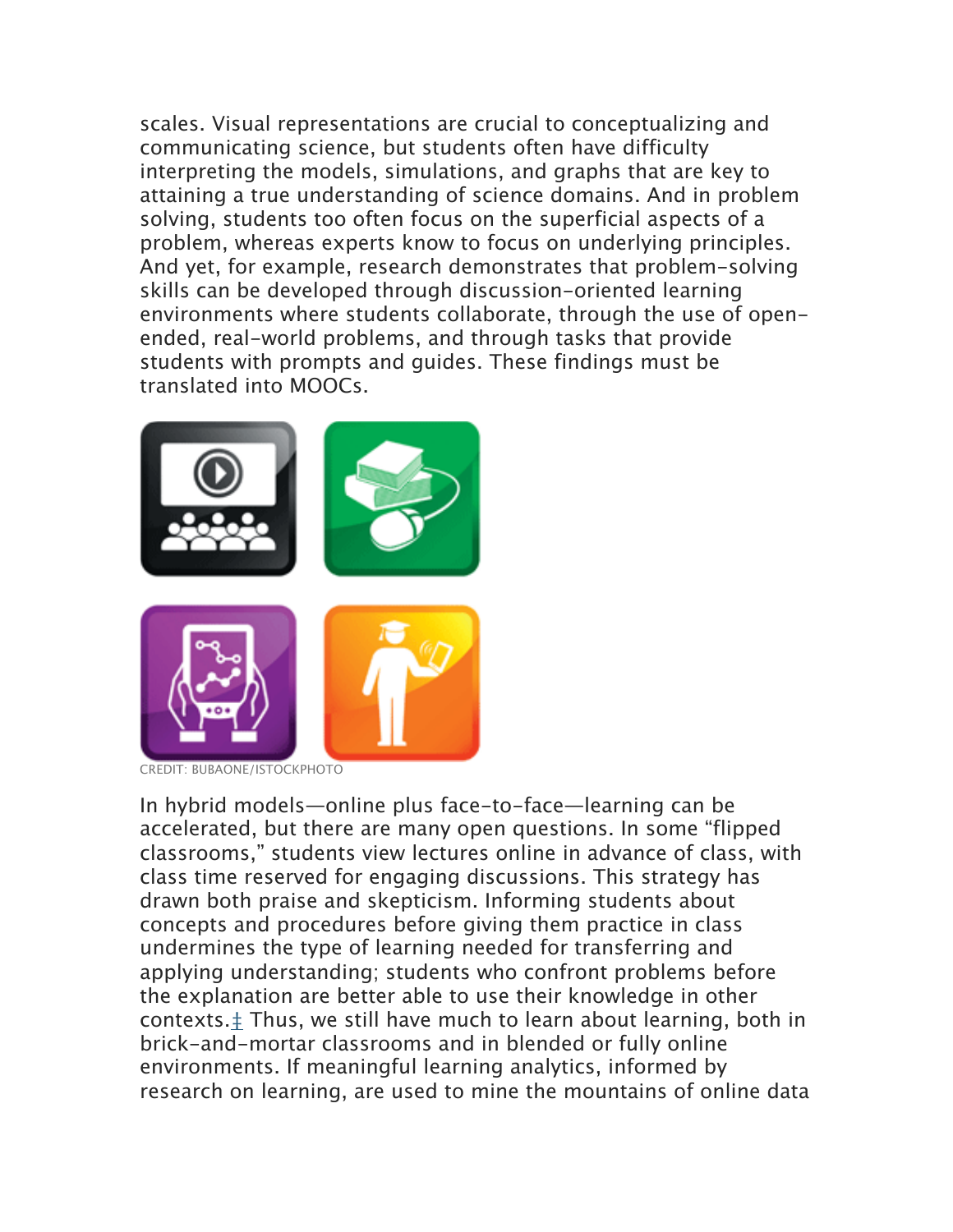scales. Visual representations are crucial to conceptualizing and communicating science, but students often have difficulty interpreting the models, simulations, and graphs that are key to attaining a true understanding of science domains. And in problem solving, students too often focus on the superficial aspects of a problem, whereas experts know to focus on underlying principles. And yet, for example, research demonstrates that problem-solving skills can be developed through discussion-oriented learning environments where students collaborate, through the use of openended, real-world problems, and through tasks that provide students with prompts and guides. These findings must be translated into MOOCs.



CREDIT: BUBAONE/ISTOCKPHOTO

In hybrid models—online plus face-to-face—learning can be accelerated, but there are many open questions. In some "flipped classrooms," students view lectures online in advance of class, with class time reserved for engaging discussions. This strategy has drawn both praise and skepticism. Informing students about concepts and procedures before giving them practice in class undermines the type of learning needed for transferring and applying understanding; students who confront problems before the explanation are better able to use their knowledge in other contexts.‡ Thus, we still have much to learn about learning, both in brick-and-mortar classrooms and in blended or fully online environments. If meaningful learning analytics, informed by research on learning, are used to mine the mountains of online data